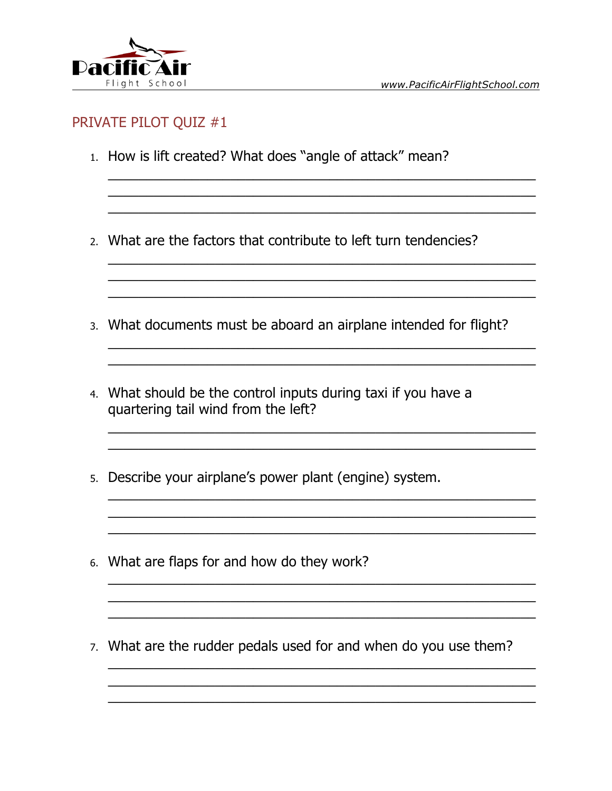

<u> 1989 - Johann Stoff, deutscher Stoffen und der Stoffen und der Stoffen und der Stoffen und der Stoffen und de</u>

<u> 1989 - Johann John Stein, mars ar yw i ganrif yn y brenin y brenin y brenin y brenin y brenin y brenin y bre</u>

<u> 1989 - Jan James James James James James James James James James James James James James James James James J</u>

#### PRIVATE PILOT QUIZ #1

- 1. How is lift created? What does "angle of attack" mean?
- 2. What are the factors that contribute to left turn tendencies?
- 3. What documents must be aboard an airplane intended for flight?
- 4. What should be the control inputs during taxi if you have a quartering tail wind from the left?

<u> 1989 - Johann John Stone, mars eta bat eta bat eta bat eta bat eta bat eta bat eta bat eta bat eta bat eta b</u>

- 5. Describe your airplane's power plant (engine) system.
- 6. What are flaps for and how do they work?
- 7. What are the rudder pedals used for and when do you use them?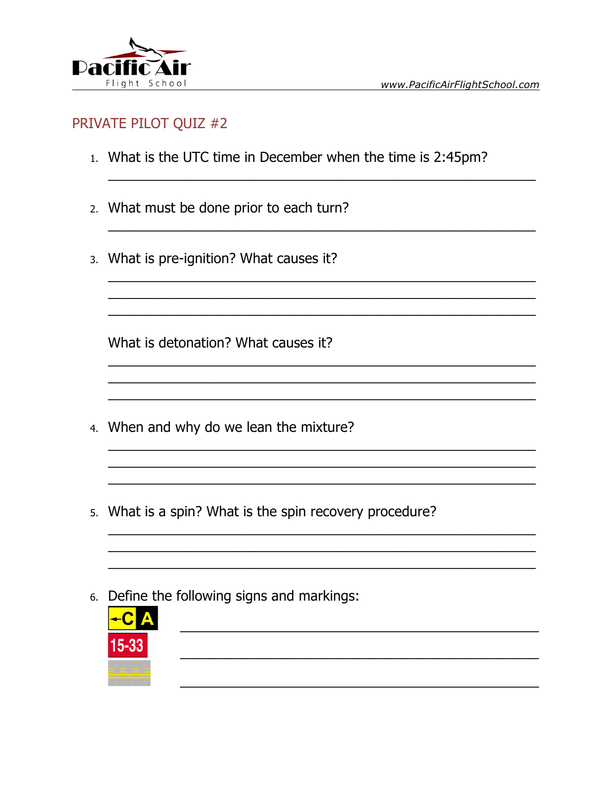

- 1. What is the UTC time in December when the time is 2:45pm?
- 2. What must be done prior to each turn?
- 3. What is pre-ignition? What causes it?

What is detonation? What causes it?

- 4. When and why do we lean the mixture?
- 5. What is a spin? What is the spin recovery procedure?

<u> 1989 - Jan Samuel Barbara, margaret eta idazlea (h. 1982).</u>

6. Define the following signs and markings:

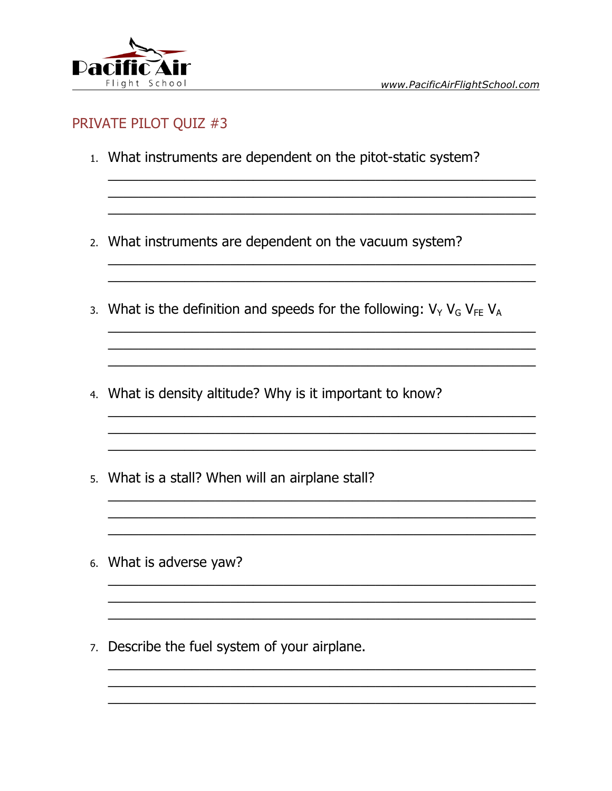

- 1. What instruments are dependent on the pitot-static system?
- 2. What instruments are dependent on the vacuum system?
- 3. What is the definition and speeds for the following:  $V_Y V_G V_{FE} V_A$
- 4. What is density altitude? Why is it important to know?
- 5. What is a stall? When will an airplane stall?
- 6. What is adverse yaw?
- 7. Describe the fuel system of your airplane.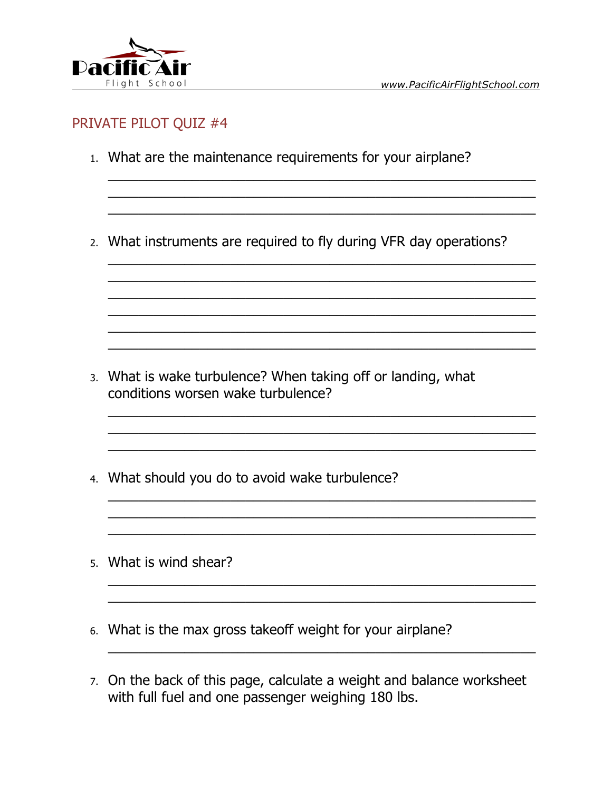

- 1. What are the maintenance requirements for your airplane?
- 2. What instruments are required to fly during VFR day operations?

- 3. What is wake turbulence? When taking off or landing, what conditions worsen wake turbulence?
- 4. What should you do to avoid wake turbulence?
- 5. What is wind shear?
- 6. What is the max gross takeoff weight for your airplane?
- 7. On the back of this page, calculate a weight and balance worksheet with full fuel and one passenger weighing 180 lbs.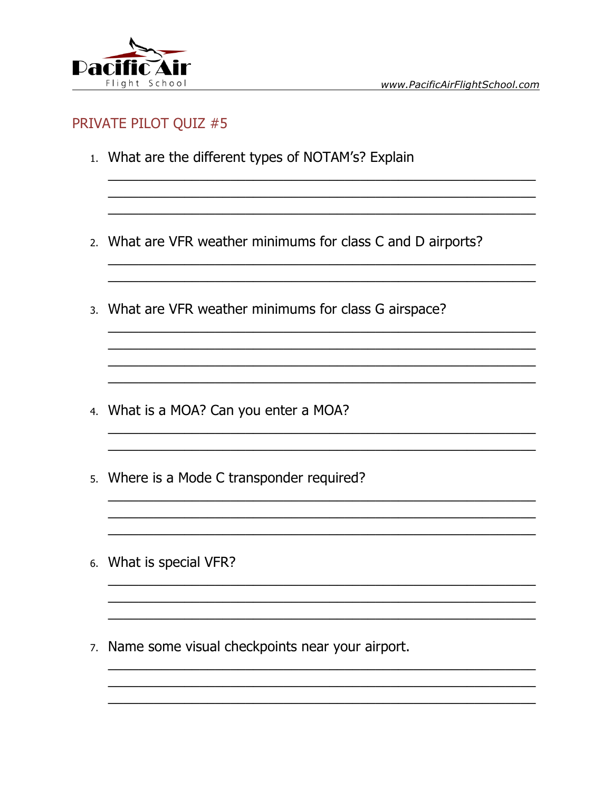

- 1. What are the different types of NOTAM's? Explain
- 2. What are VFR weather minimums for class C and D airports?
- 3. What are VFR weather minimums for class G airspace?

<u> 1989 - Johann John Stone, mars and deutscher Stone († 1989)</u>

- 4. What is a MOA? Can you enter a MOA?
- 5. Where is a Mode C transponder required?
- 6. What is special VFR?
- 7. Name some visual checkpoints near your airport.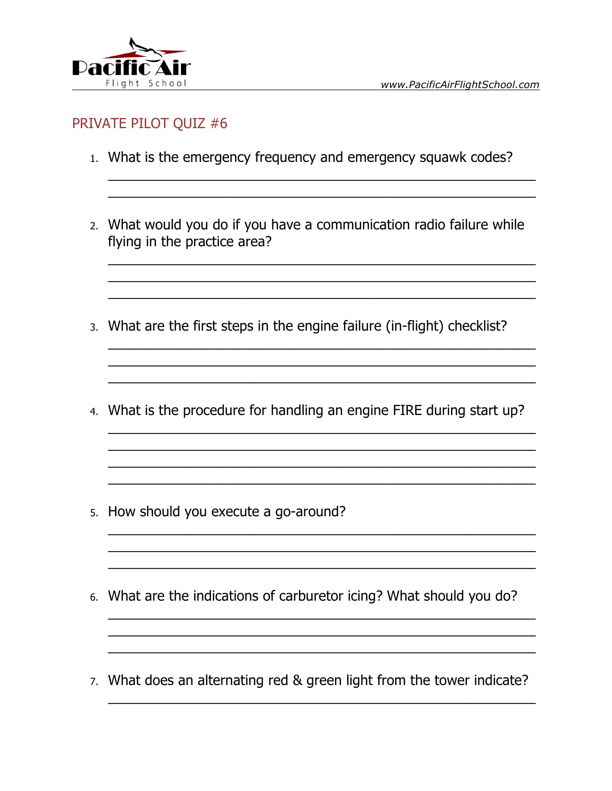

www.PacificAirFlightSchool.com

### PRIVATE PILOT QUIZ #6

- 1. What is the emergency frequency and emergency squawk codes?
- 2. What would you do if you have a communication radio failure while flying in the practice area?
- 3. What are the first steps in the engine failure (in-flight) checklist?
- 4. What is the procedure for handling an engine FIRE during start up?

- 5. How should you execute a go-around?
- 6. What are the indications of carburetor icing? What should you do?
- 7. What does an alternating red & green light from the tower indicate?

and the control of the control of the control of the control of the control of the control of the control of the